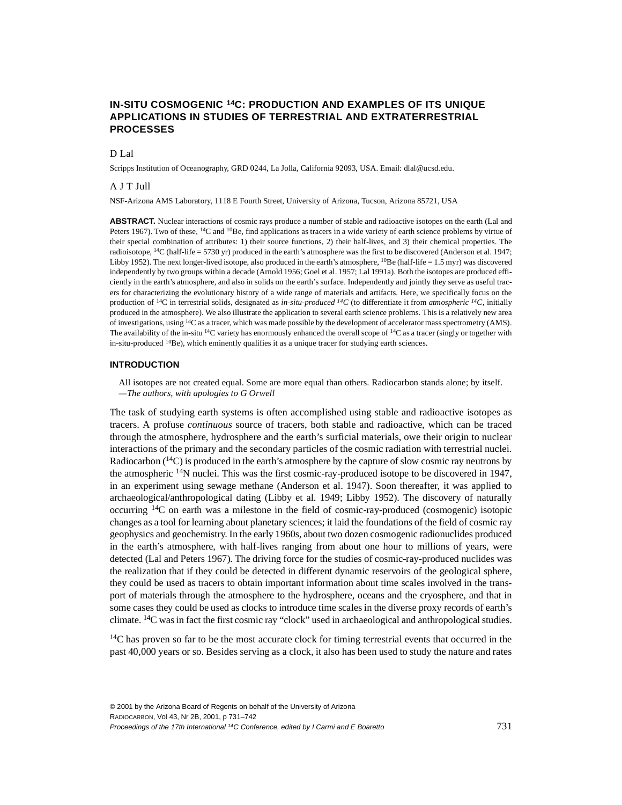# **IN-SITU COSMOGENIC 14C: PRODUCTION AND EXAMPLES OF ITS UNIQUE APPLICATIONS IN STUDIES OF TERRESTRIAL AND EXTRATERRESTRIAL PROCESSES**

### D<sub>Lal</sub>

Scripps Institution of Oceanography, GRD 0244, La Jolla, California 92093, USA. Email: dlal@ucsd.edu.

#### A J T Jull

NSF-Arizona AMS Laboratory, 1118 E Fourth Street, University of Arizona, Tucson, Arizona 85721, USA

**ABSTRACT.** Nuclear interactions of cosmic rays produce a number of stable and radioactive isotopes on the earth (Lal and Peters 1967). Two of these, <sup>14</sup>C and <sup>10</sup>Be, find applications as tracers in a wide variety of earth science problems by virtue of their special combination of attributes: 1) their source functions, 2) their half-lives, and 3) their chemical properties. The radioisotope, <sup>14</sup>C (half-life = 5730 yr) produced in the earth's atmosphere was the first to be discovered (Anderson et al. 1947; Libby 1952). The next longer-lived isotope, also produced in the earth's atmosphere, 10Be (half-life = 1.5 myr) was discovered independently by two groups within a decade (Arnold 1956; Goel et al. 1957; Lal 1991a). Both the isotopes are produced efficiently in the earth's atmosphere, and also in solids on the earth's surface. Independently and jointly they serve as useful tracers for characterizing the evolutionary history of a wide range of materials and artifacts. Here, we specifically focus on the production of 14C in terrestrial solids, designated as *in-situ-produced 14C* (to differentiate it from *atmospheric 14C*, initially produced in the atmosphere). We also illustrate the application to several earth science problems. This is a relatively new area of investigations, using 14C as a tracer, which was made possible by the development of accelerator mass spectrometry (AMS). The availability of the in-situ <sup>14</sup>C variety has enormously enhanced the overall scope of <sup>14</sup>C as a tracer (singly or together with in-situ-produced  $^{10}$ Be), which eminently qualifies it as a unique tracer for studying earth sciences.

#### **INTRODUCTION**

All isotopes are not created equal. Some are more equal than others. Radiocarbon stands alone; by itself. *—The authors, with apologies to G Orwell*

The task of studying earth systems is often accomplished using stable and radioactive isotopes as tracers. A profuse *continuous* source of tracers, both stable and radioactive, which can be traced through the atmosphere, hydrosphere and the earth's surficial materials, owe their origin to nuclear interactions of the primary and the secondary particles of the cosmic radiation with terrestrial nuclei. Radiocarbon  $(14)$  is produced in the earth's atmosphere by the capture of slow cosmic ray neutrons by the atmospheric 14N nuclei. This was the first cosmic-ray-produced isotope to be discovered in 1947, in an experiment using sewage methane (Anderson et al. 1947). Soon thereafter, it was applied to archaeological/anthropological dating (Libby et al. 1949; Libby 1952). The discovery of naturally occurring  $14C$  on earth was a milestone in the field of cosmic-ray-produced (cosmogenic) isotopic changes as a tool for learning about planetary sciences; it laid the foundations of the field of cosmic ray geophysics and geochemistry. In the early 1960s, about two dozen cosmogenic radionuclides produced in the earth's atmosphere, with half-lives ranging from about one hour to millions of years, were detected (Lal and Peters 1967). The driving force for the studies of cosmic-ray-produced nuclides was the realization that if they could be detected in different dynamic reservoirs of the geological sphere, they could be used as tracers to obtain important information about time scales involved in the transport of materials through the atmosphere to the hydrosphere, oceans and the cryosphere, and that in some cases they could be used as clocks to introduce time scales in the diverse proxy records of earth's climate. 14C was in fact the first cosmic ray "clock" used in archaeological and anthropological studies.

<sup>14</sup>C has proven so far to be the most accurate clock for timing terrestrial events that occurred in the past 40,000 years or so. Besides serving as a clock, it also has been used to study the nature and rates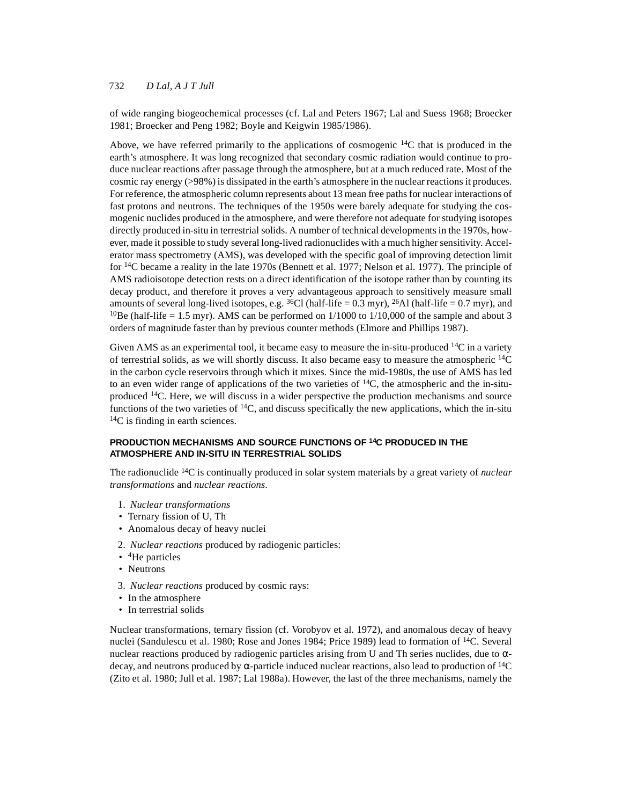of wide ranging biogeochemical processes (cf. Lal and Peters 1967; Lal and Suess 1968; Broecker 1981; Broecker and Peng 1982; Boyle and Keigwin 1985/1986).

Above, we have referred primarily to the applications of cosmogenic 14C that is produced in the earth's atmosphere. It was long recognized that secondary cosmic radiation would continue to produce nuclear reactions after passage through the atmosphere, but at a much reduced rate. Most of the cosmic ray energy (>98%) is dissipated in the earth's atmosphere in the nuclear reactions it produces. For reference, the atmospheric column represents about 13 mean free paths for nuclear interactions of fast protons and neutrons. The techniques of the 1950s were barely adequate for studying the cosmogenic nuclides produced in the atmosphere, and were therefore not adequate for studying isotopes directly produced in-situ in terrestrial solids. A number of technical developments in the 1970s, however, made it possible to study several long-lived radionuclides with a much higher sensitivity. Accelerator mass spectrometry (AMS), was developed with the specific goal of improving detection limit for 14C became a reality in the late 1970s (Bennett et al. 1977; Nelson et al. 1977). The principle of AMS radioisotope detection rests on a direct identification of the isotope rather than by counting its decay product, and therefore it proves a very advantageous approach to sensitively measure small amounts of several long-lived isotopes, e.g.  ${}^{36}$ Cl (half-life = 0.3 myr),  ${}^{26}$ Al (half-life = 0.7 myr), and <sup>10</sup>Be (half-life = 1.5 myr). AMS can be performed on  $1/1000$  to  $1/10,000$  of the sample and about 3 orders of magnitude faster than by previous counter methods (Elmore and Phillips 1987).

Given AMS as an experimental tool, it became easy to measure the in-situ-produced  $^{14}C$  in a variety of terrestrial solids, as we will shortly discuss. It also became easy to measure the atmospheric  $^{14}$ C in the carbon cycle reservoirs through which it mixes. Since the mid-1980s, the use of AMS has led to an even wider range of applications of the two varieties of  ${}^{14}C$ , the atmospheric and the in-situproduced  $14C$ . Here, we will discuss in a wider perspective the production mechanisms and source functions of the two varieties of  ${}^{14}C$ , and discuss specifically the new applications, which the in-situ  $^{14}$ C is finding in earth sciences.

# **PRODUCTION MECHANISMS AND SOURCE FUNCTIONS OF 14C PRODUCED IN THE ATMOSPHERE AND IN-SITU IN TERRESTRIAL SOLIDS**

The radionuclide 14C is continually produced in solar system materials by a great variety of *nuclear transformations* and *nuclear reactions*.

- 1. *Nuclear transformations*
- Ternary fission of U, Th
- Anomalous decay of heavy nuclei
- 2. *Nuclear reactions* produced by radiogenic particles:
- <sup>4</sup>He particles
- Neutrons
- 3. *Nuclear reactions* produced by cosmic rays:
- In the atmosphere
- In terrestrial solids

Nuclear transformations, ternary fission (cf. Vorobyov et al. 1972), and anomalous decay of heavy nuclei (Sandulescu et al. 1980; Rose and Jones 1984; Price 1989) lead to formation of 14C. Several nuclear reactions produced by radiogenic particles arising from U and Th series nuclides, due to  $α$ decay, and neutrons produced by α-particle induced nuclear reactions, also lead to production of 14C (Zito et al. 1980; Jull et al. 1987; Lal 1988a). However, the last of the three mechanisms, namely the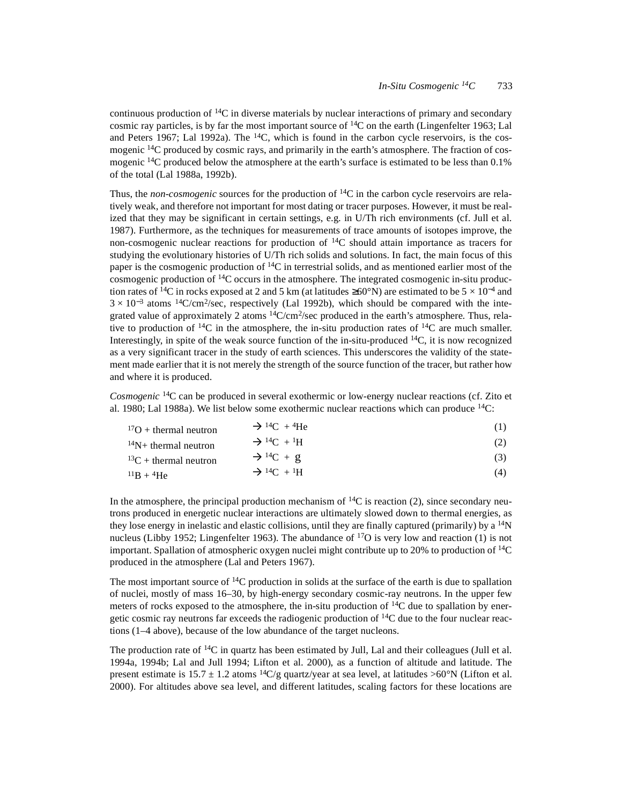continuous production of  ${}^{14}C$  in diverse materials by nuclear interactions of primary and secondary cosmic ray particles, is by far the most important source of  ${}^{14}C$  on the earth (Lingenfelter 1963; Lal and Peters 1967; Lal 1992a). The  $14C$ , which is found in the carbon cycle reservoirs, is the cosmogenic <sup>14</sup>C produced by cosmic rays, and primarily in the earth's atmosphere. The fraction of cosmogenic <sup>14</sup>C produced below the atmosphere at the earth's surface is estimated to be less than 0.1% of the total (Lal 1988a, 1992b).

Thus, the *non-cosmogenic* sources for the production of 14C in the carbon cycle reservoirs are relatively weak, and therefore not important for most dating or tracer purposes. However, it must be realized that they may be significant in certain settings, e.g. in U/Th rich environments (cf. Jull et al. 1987). Furthermore, as the techniques for measurements of trace amounts of isotopes improve, the non-cosmogenic nuclear reactions for production of 14C should attain importance as tracers for studying the evolutionary histories of U/Th rich solids and solutions. In fact, the main focus of this paper is the cosmogenic production of 14C in terrestrial solids, and as mentioned earlier most of the cosmogenic production of 14C occurs in the atmosphere. The integrated cosmogenic in-situ production rates of <sup>14</sup>C in rocks exposed at 2 and 5 km (at latitudes  $\geq 60^{\circ}$ N) are estimated to be 5 × 10<sup>-4</sup> and  $3 \times 10^{-3}$  atoms <sup>14</sup>C/cm<sup>2</sup>/sec, respectively (Lal 1992b), which should be compared with the integrated value of approximately 2 atoms 14C/cm2/sec produced in the earth's atmosphere*.* Thus, relative to production of  ${}^{14}C$  in the atmosphere, the in-situ production rates of  ${}^{14}C$  are much smaller. Interestingly, in spite of the weak source function of the in-situ-produced  $^{14}C$ , it is now recognized as a very significant tracer in the study of earth sciences. This underscores the validity of the statement made earlier that it is not merely the strength of the source function of the tracer, but rather how and where it is produced.

*Cosmogenic* 14C can be produced in several exothermic or low-energy nuclear reactions (cf. Zito et al. 1980; Lal 1988a). We list below some exothermic nuclear reactions which can produce  ${}^{14}C$ :

| ${}^{17}O$ + thermal neutron | $\rightarrow$ <sup>14</sup> C + <sup>4</sup> He |  |
|------------------------------|-------------------------------------------------|--|
|------------------------------|-------------------------------------------------|--|

<sup>14</sup>N+ thermal neutron  $\Rightarrow$  <sup>14</sup>C + <sup>1</sup>H (2)<br><sup>13</sup>C + thermal neutron  $\Rightarrow$  <sup>14</sup>C + g (3) <sup>13</sup>C + thermal neutron  $\frac{13}{2}$  + thermal neutron  $\frac{13}{2}$  +  $\frac{14}{1}$  +  $\frac{14}{1}$  +  $\frac{14}{1}$  (4)  $^{11}B + ^4He$  Algement +  $^{14}C + ^1H$  (4)

In the atmosphere, the principal production mechanism of  ${}^{14}C$  is reaction (2), since secondary neutrons produced in energetic nuclear interactions are ultimately slowed down to thermal energies, as they lose energy in inelastic and elastic collisions, until they are finally captured (primarily) by a  $\rm{^{14}N}$ nucleus (Libby 1952; Lingenfelter 1963). The abundance of  $^{17}O$  is very low and reaction (1) is not important. Spallation of atmospheric oxygen nuclei might contribute up to 20% to production of  ${}^{14}C$ produced in the atmosphere (Lal and Peters 1967).

The most important source of <sup>14</sup>C production in solids at the surface of the earth is due to spallation of nuclei, mostly of mass 16–30, by high-energy secondary cosmic-ray neutrons. In the upper few meters of rocks exposed to the atmosphere, the in-situ production of  $^{14}$ C due to spallation by energetic cosmic ray neutrons far exceeds the radiogenic production of  ${}^{14}C$  due to the four nuclear reactions (1–4 above), because of the low abundance of the target nucleons.

The production rate of  ${}^{14}C$  in quartz has been estimated by Jull, Lal and their colleagues (Jull et al. 1994a, 1994b; Lal and Jull 1994; Lifton et al. 2000), as a function of altitude and latitude. The present estimate is  $15.7 \pm 1.2$  atoms <sup>14</sup>C/g quartz/year at sea level, at latitudes >60°N (Lifton et al. 2000). For altitudes above sea level, and different latitudes, scaling factors for these locations are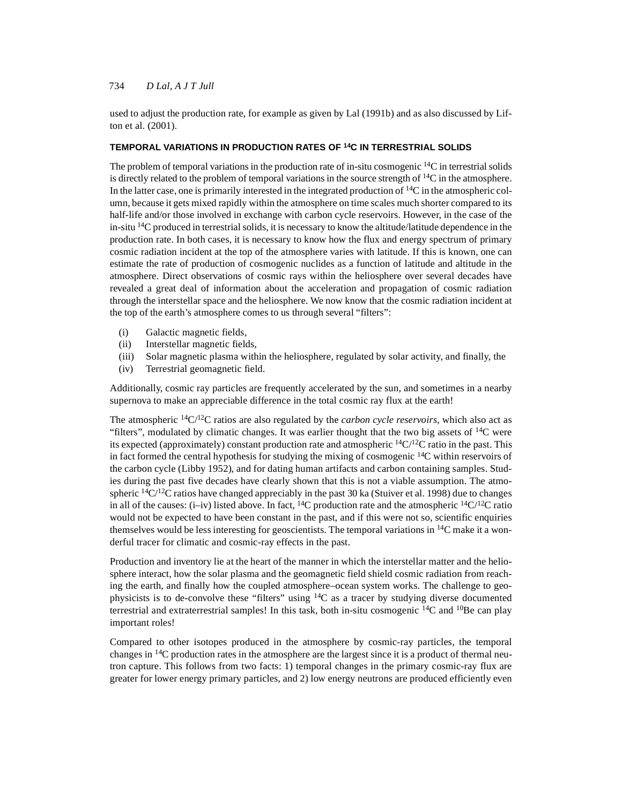used to adjust the production rate, for example as given by Lal (1991b) and as also discussed by Lifton et al. (2001).

### **TEMPORAL VARIATIONS IN PRODUCTION RATES OF 14C IN TERRESTRIAL SOLIDS**

The problem of temporal variations in the production rate of in-situ cosmogenic <sup>14</sup>C in terrestrial solids is directly related to the problem of temporal variations in the source strength of  ${}^{14}C$  in the atmosphere. In the latter case, one is primarily interested in the integrated production of  $14C$  in the atmospheric column, because it gets mixed rapidly within the atmosphere on time scales much shorter compared to its half-life and/or those involved in exchange with carbon cycle reservoirs. However, in the case of the in-situ  $14C$  produced in terrestrial solids, it is necessary to know the altitude/latitude dependence in the production rate. In both cases, it is necessary to know how the flux and energy spectrum of primary cosmic radiation incident at the top of the atmosphere varies with latitude. If this is known, one can estimate the rate of production of cosmogenic nuclides as a function of latitude and altitude in the atmosphere. Direct observations of cosmic rays within the heliosphere over several decades have revealed a great deal of information about the acceleration and propagation of cosmic radiation through the interstellar space and the heliosphere. We now know that the cosmic radiation incident at the top of the earth's atmosphere comes to us through several "filters":

- (i) Galactic magnetic fields,
- (ii) Interstellar magnetic fields,
- (iii) Solar magnetic plasma within the heliosphere, regulated by solar activity, and finally, the
- (iv) Terrestrial geomagnetic field.

Additionally, cosmic ray particles are frequently accelerated by the sun, and sometimes in a nearby supernova to make an appreciable difference in the total cosmic ray flux at the earth!

The atmospheric  $\frac{14C}{12C}$  ratios are also regulated by the *carbon cycle reservoirs*, which also act as "filters", modulated by climatic changes. It was earlier thought that the two big assets of  ${}^{14}C$  were its expected (approximately) constant production rate and atmospheric  ${}^{14}C/{}^{12}C$  ratio in the past. This in fact formed the central hypothesis for studying the mixing of cosmogenic  $^{14}$ C within reservoirs of the carbon cycle (Libby 1952), and for dating human artifacts and carbon containing samples. Studies during the past five decades have clearly shown that this is not a viable assumption. The atmospheric  $14C/I^2C$  ratios have changed appreciably in the past 30 ka (Stuiver et al. 1998) due to changes in all of the causes: (i–iv) listed above. In fact, <sup>14</sup>C production rate and the atmospheric <sup>14</sup>C/<sup>12</sup>C ratio would not be expected to have been constant in the past, and if this were not so, scientific enquiries themselves would be less interesting for geoscientists. The temporal variations in  $\rm{^{14}C}$  make it a wonderful tracer for climatic and cosmic-ray effects in the past.

Production and inventory lie at the heart of the manner in which the interstellar matter and the heliosphere interact, how the solar plasma and the geomagnetic field shield cosmic radiation from reaching the earth, and finally how the coupled atmosphere–ocean system works. The challenge to geophysicists is to de-convolve these "filters" using 14C as a tracer by studying diverse documented terrestrial and extraterrestrial samples! In this task, both in-situ cosmogenic  $^{14}C$  and  $^{10}Be$  can play important roles!

Compared to other isotopes produced in the atmosphere by cosmic-ray particles, the temporal changes in  $^{14}$ C production rates in the atmosphere are the largest since it is a product of thermal neutron capture. This follows from two facts: 1) temporal changes in the primary cosmic-ray flux are greater for lower energy primary particles, and 2) low energy neutrons are produced efficiently even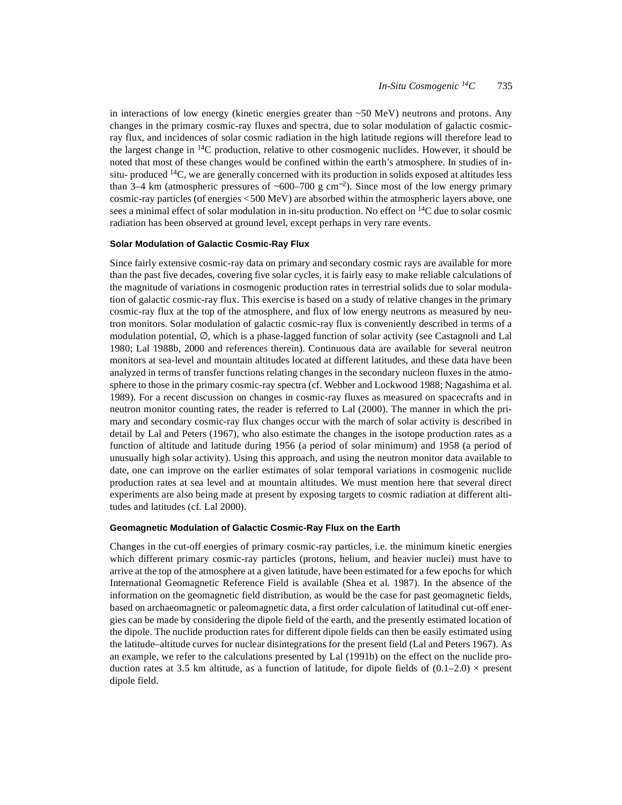in interactions of low energy (kinetic energies greater than  $\sim$ 50 MeV) neutrons and protons. Any changes in the primary cosmic-ray fluxes and spectra, due to solar modulation of galactic cosmicray flux, and incidences of solar cosmic radiation in the high latitude regions will therefore lead to the largest change in <sup>14</sup>C production, relative to other cosmogenic nuclides. However, it should be noted that most of these changes would be confined within the earth's atmosphere. In studies of insitu- produced  $14C$ , we are generally concerned with its production in solids exposed at altitudes less than 3–4 km (atmospheric pressures of ~600–700 g cm<sup>-2</sup>). Since most of the low energy primary cosmic-ray particles (of energies <500 MeV) are absorbed within the atmospheric layers above, one sees a minimal effect of solar modulation in in-situ production. No effect on <sup>14</sup>C due to solar cosmic radiation has been observed at ground level, except perhaps in very rare events.

#### **Solar Modulation of Galactic Cosmic-Ray Flux**

Since fairly extensive cosmic-ray data on primary and secondary cosmic rays are available for more than the past five decades, covering five solar cycles, it is fairly easy to make reliable calculations of the magnitude of variations in cosmogenic production rates in terrestrial solids due to solar modulation of galactic cosmic-ray flux. This exercise is based on a study of relative changes in the primary cosmic-ray flux at the top of the atmosphere, and flux of low energy neutrons as measured by neutron monitors. Solar modulation of galactic cosmic-ray flux is conveniently described in terms of a modulation potential, ∅, which is a phase-lagged function of solar activity (see Castagnoli and Lal 1980; Lal 1988b, 2000 and references therein). Continuous data are available for several neutron monitors at sea-level and mountain altitudes located at different latitudes, and these data have been analyzed in terms of transfer functions relating changes in the secondary nucleon fluxes in the atmosphere to those in the primary cosmic-ray spectra (cf. Webber and Lockwood 1988; Nagashima et al. 1989). For a recent discussion on changes in cosmic-ray fluxes as measured on spacecrafts and in neutron monitor counting rates, the reader is referred to Lal (2000). The manner in which the primary and secondary cosmic-ray flux changes occur with the march of solar activity is described in detail by Lal and Peters (1967), who also estimate the changes in the isotope production rates as a function of altitude and latitude during 1956 (a period of solar minimum) and 1958 (a period of unusually high solar activity). Using this approach, and using the neutron monitor data available to date, one can improve on the earlier estimates of solar temporal variations in cosmogenic nuclide production rates at sea level and at mountain altitudes. We must mention here that several direct experiments are also being made at present by exposing targets to cosmic radiation at different altitudes and latitudes (cf. Lal 2000).

### **Geomagnetic Modulation of Galactic Cosmic-Ray Flux on the Earth**

Changes in the cut-off energies of primary cosmic-ray particles, i.e. the minimum kinetic energies which different primary cosmic-ray particles (protons, helium, and heavier nuclei) must have to arrive at the top of the atmosphere at a given latitude, have been estimated for a few epochs for which International Geomagnetic Reference Field is available (Shea et al. 1987). In the absence of the information on the geomagnetic field distribution, as would be the case for past geomagnetic fields, based on archaeomagnetic or paleomagnetic data, a first order calculation of latitudinal cut-off energies can be made by considering the dipole field of the earth, and the presently estimated location of the dipole. The nuclide production rates for different dipole fields can then be easily estimated using the latitude–altitude curves for nuclear disintegrations for the present field (Lal and Peters 1967). As an example, we refer to the calculations presented by Lal (1991b) on the effect on the nuclide production rates at 3.5 km altitude, as a function of latitude, for dipole fields of  $(0.1–2.0) \times$  present dipole field.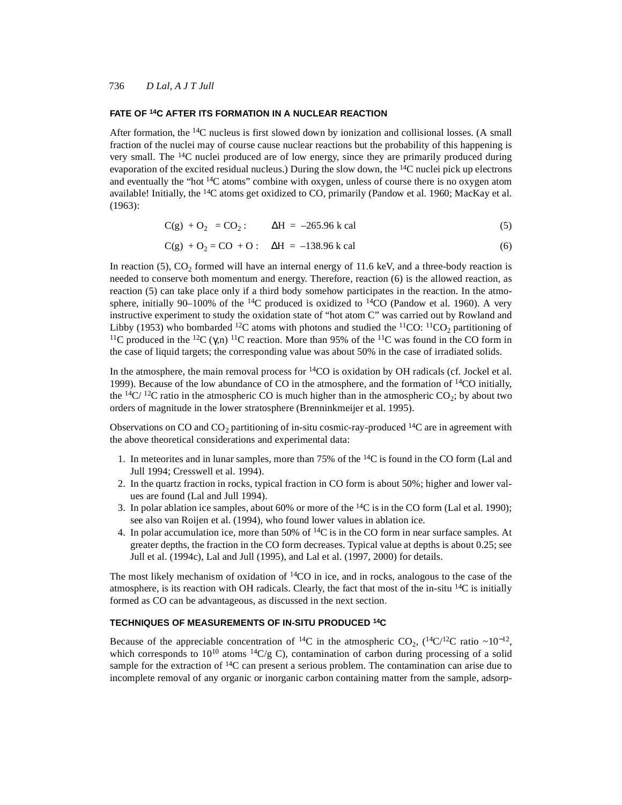#### **FATE OF 14C AFTER ITS FORMATION IN A NUCLEAR REACTION**

After formation, the  $14C$  nucleus is first slowed down by ionization and collisional losses. (A small fraction of the nuclei may of course cause nuclear reactions but the probability of this happening is very small. The  $^{14}$ C nuclei produced are of low energy, since they are primarily produced during evaporation of the excited residual nucleus.) During the slow down, the  $^{14}$ C nuclei pick up electrons and eventually the "hot  ${}^{14}C$  atoms" combine with oxygen, unless of course there is no oxygen atom available! Initially, the  $14C$  atoms get oxidized to CO, primarily (Pandow et al. 1960; MacKay et al. (1963):

$$
C(g) + O_2 = CO_2: \qquad \Delta H = -265.96 \text{ k cal}
$$
 (5)

$$
C(g) + O_2 = CO + O: \quad \Delta H = -138.96 \text{ k cal}
$$
 (6)

In reaction  $(5)$ ,  $CO<sub>2</sub>$  formed will have an internal energy of 11.6 keV, and a three-body reaction is needed to conserve both momentum and energy. Therefore, reaction (6) is the allowed reaction, as reaction (5) can take place only if a third body somehow participates in the reaction. In the atmosphere, initially 90–100% of the <sup>14</sup>C produced is oxidized to <sup>14</sup>CO (Pandow et al. 1960). A very instructive experiment to study the oxidation state of "hot atom C" was carried out by Rowland and Libby (1953) who bombarded <sup>12</sup>C atoms with photons and studied the <sup>11</sup>CO: <sup>11</sup>CO<sub>2</sub> partitioning of <sup>11</sup>C produced in the <sup>12</sup>C ( $\gamma$ ,n)<sup>11</sup>C reaction. More than 95% of the <sup>11</sup>C was found in the CO form in the case of liquid targets; the corresponding value was about 50% in the case of irradiated solids.

In the atmosphere, the main removal process for <sup>14</sup>CO is oxidation by OH radicals (cf. Jockel et al. 1999). Because of the low abundance of CO in the atmosphere, and the formation of  $\frac{14}{14}$ CO initially, the <sup>14</sup>C/<sup>12</sup>C ratio in the atmospheric CO is much higher than in the atmospheric CO<sub>2</sub>; by about two orders of magnitude in the lower stratosphere (Brenninkmeijer et al. 1995).

Observations on CO and CO<sub>2</sub> partitioning of in-situ cosmic-ray-produced <sup>14</sup>C are in agreement with the above theoretical considerations and experimental data:

- 1. In meteorites and in lunar samples, more than 75% of the  ${}^{14}C$  is found in the CO form (Lal and Jull 1994; Cresswell et al. 1994).
- 2. In the quartz fraction in rocks, typical fraction in CO form is about 50%; higher and lower values are found (Lal and Jull 1994).
- 3. In polar ablation ice samples, about 60% or more of the  ${}^{14}C$  is in the CO form (Lal et al. 1990); see also van Roijen et al. (1994), who found lower values in ablation ice.
- 4. In polar accumulation ice, more than  $50\%$  of  $^{14}C$  is in the CO form in near surface samples. At greater depths, the fraction in the CO form decreases. Typical value at depths is about 0.25; see Jull et al. (1994c), Lal and Jull (1995), and Lal et al. (1997, 2000) for details.

The most likely mechanism of oxidation of  $14CO$  in ice, and in rocks, analogous to the case of the atmosphere, is its reaction with OH radicals. Clearly, the fact that most of the in-situ  $^{14}C$  is initially formed as CO can be advantageous, as discussed in the next section.

#### **TECHNIQUES OF MEASUREMENTS OF IN-SITU PRODUCED 14C**

Because of the appreciable concentration of <sup>14</sup>C in the atmospheric CO<sub>2</sub>, (<sup>14</sup>C/<sup>12</sup>C ratio ~10<sup>-12</sup>, which corresponds to  $10^{10}$  atoms  $^{14}C/g$  C), contamination of carbon during processing of a solid sample for the extraction of  ${}^{14}C$  can present a serious problem. The contamination can arise due to incomplete removal of any organic or inorganic carbon containing matter from the sample, adsorp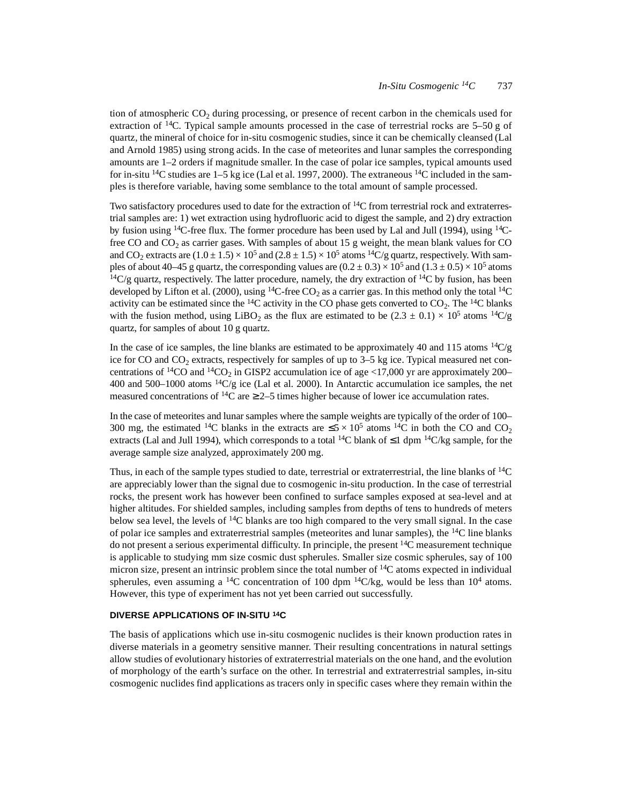tion of atmospheric  $CO_2$  during processing, or presence of recent carbon in the chemicals used for extraction of <sup>14</sup>C. Typical sample amounts processed in the case of terrestrial rocks are 5–50 g of quartz, the mineral of choice for in-situ cosmogenic studies, since it can be chemically cleansed (Lal and Arnold 1985) using strong acids. In the case of meteorites and lunar samples the corresponding amounts are 1–2 orders if magnitude smaller. In the case of polar ice samples, typical amounts used for in-situ <sup>14</sup>C studies are 1–5 kg ice (Lal et al. 1997, 2000). The extraneous <sup>14</sup>C included in the samples is therefore variable, having some semblance to the total amount of sample processed.

Two satisfactory procedures used to date for the extraction of  $^{14}$ C from terrestrial rock and extraterrestrial samples are: 1) wet extraction using hydrofluoric acid to digest the sample, and 2) dry extraction by fusion using  $^{14}C$ -free flux. The former procedure has been used by Lal and Jull (1994), using  $^{14}C$ free CO and  $CO<sub>2</sub>$  as carrier gases. With samples of about 15 g weight, the mean blank values for CO and CO<sub>2</sub> extracts are  $(1.0 \pm 1.5) \times 10^5$  and  $(2.8 \pm 1.5) \times 10^5$  atoms <sup>14</sup>C/g quartz, respectively. With samples of about 40–45 g quartz, the corresponding values are  $(0.2 \pm 0.3) \times 10^5$  and  $(1.3 \pm 0.5) \times 10^5$  atoms  $14C/g$  quartz, respectively. The latter procedure, namely, the dry extraction of  $14C$  by fusion, has been developed by Lifton et al. (2000), using <sup>14</sup>C-free CO<sub>2</sub> as a carrier gas. In this method only the total <sup>14</sup>C activity can be estimated since the  $^{14}C$  activity in the CO phase gets converted to  $CO_2$ . The  $^{14}C$  blanks with the fusion method, using LiBO<sub>2</sub> as the flux are estimated to be  $(2.3 \pm 0.1) \times 10^5$  atoms <sup>14</sup>C/g quartz, for samples of about 10 g quartz.

In the case of ice samples, the line blanks are estimated to be approximately 40 and 115 atoms  $14C/g$ ice for CO and  $CO<sub>2</sub>$  extracts, respectively for samples of up to 3–5 kg ice. Typical measured net concentrations of <sup>14</sup>CO and <sup>14</sup>CO<sub>2</sub> in GISP2 accumulation ice of age <17,000 yr are approximately 200– 400 and 500–1000 atoms  ${}^{14}C/g$  ice (Lal et al. 2000). In Antarctic accumulation ice samples, the net measured concentrations of <sup>14</sup>C are  $\geq$  2–5 times higher because of lower ice accumulation rates.

In the case of meteorites and lunar samples where the sample weights are typically of the order of 100– 300 mg, the estimated <sup>14</sup>C blanks in the extracts are  $\leq 5 \times 10^5$  atoms <sup>14</sup>C in both the CO and CO<sub>2</sub> extracts (Lal and Jull 1994), which corresponds to a total <sup>14</sup>C blank of  $\leq 1$  dpm <sup>14</sup>C/kg sample, for the average sample size analyzed, approximately 200 mg.

Thus, in each of the sample types studied to date, terrestrial or extraterrestrial, the line blanks of  $^{14}C$ are appreciably lower than the signal due to cosmogenic in-situ production. In the case of terrestrial rocks, the present work has however been confined to surface samples exposed at sea-level and at higher altitudes. For shielded samples, including samples from depths of tens to hundreds of meters below sea level, the levels of <sup>14</sup>C blanks are too high compared to the very small signal. In the case of polar ice samples and extraterrestrial samples (meteorites and lunar samples), the  $^{14}C$  line blanks do not present a serious experimental difficulty. In principle, the present  $14C$  measurement technique is applicable to studying mm size cosmic dust spherules. Smaller size cosmic spherules, say of 100 micron size, present an intrinsic problem since the total number of <sup>14</sup>C atoms expected in individual spherules, even assuming a <sup>14</sup>C concentration of 100 dpm <sup>14</sup>C/kg, would be less than  $10^4$  atoms. However, this type of experiment has not yet been carried out successfully.

### **DIVERSE APPLICATIONS OF IN-SITU 14C**

The basis of applications which use in-situ cosmogenic nuclides is their known production rates in diverse materials in a geometry sensitive manner. Their resulting concentrations in natural settings allow studies of evolutionary histories of extraterrestrial materials on the one hand, and the evolution of morphology of the earth's surface on the other. In terrestrial and extraterrestrial samples, in-situ cosmogenic nuclides find applications as tracers only in specific cases where they remain within the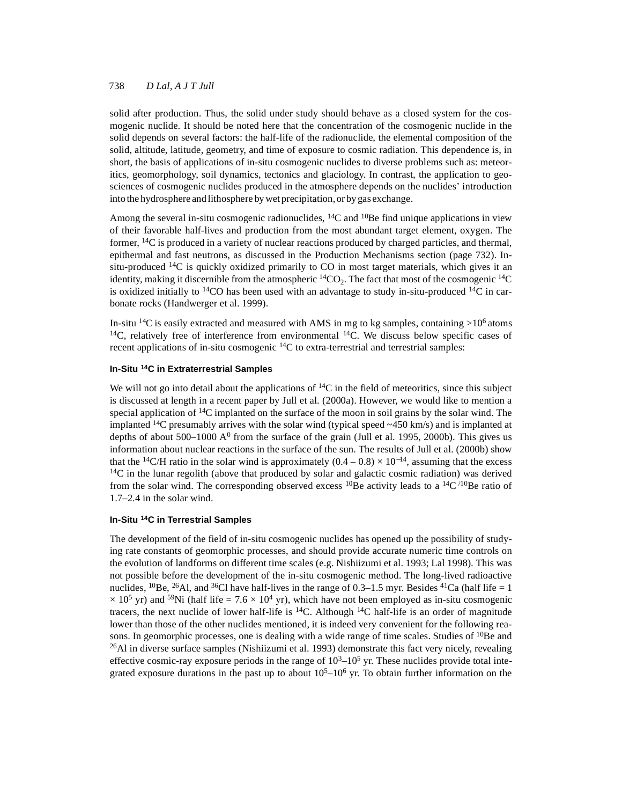solid after production. Thus, the solid under study should behave as a closed system for the cosmogenic nuclide. It should be noted here that the concentration of the cosmogenic nuclide in the solid depends on several factors: the half-life of the radionuclide, the elemental composition of the solid, altitude, latitude, geometry, and time of exposure to cosmic radiation. This dependence is, in short, the basis of applications of in-situ cosmogenic nuclides to diverse problems such as: meteoritics, geomorphology, soil dynamics, tectonics and glaciology. In contrast, the application to geosciences of cosmogenic nuclides produced in the atmosphere depends on the nuclides' introduction into the hydrosphere and lithosphere by wet precipitation, or by gas exchange.

Among the several in-situ cosmogenic radionuclides, <sup>14</sup>C and <sup>10</sup>Be find unique applications in view of their favorable half-lives and production from the most abundant target element, oxygen. The former, 14C is produced in a variety of nuclear reactions produced by charged particles, and thermal, epithermal and fast neutrons, as discussed in the Production Mechanisms section (page 732). Insitu-produced  $14C$  is quickly oxidized primarily to CO in most target materials, which gives it an identity, making it discernible from the atmospheric  ${}^{14}CO_2$ . The fact that most of the cosmogenic  ${}^{14}C$ is oxidized initially to  $14CO$  has been used with an advantage to study in-situ-produced  $14C$  in carbonate rocks (Handwerger et al. 1999).

In-situ <sup>14</sup>C is easily extracted and measured with AMS in mg to kg samples, containing  $>10^6$  atoms  $14$ C, relatively free of interference from environmental  $14$ C. We discuss below specific cases of recent applications of in-situ cosmogenic <sup>14</sup>C to extra-terrestrial and terrestrial samples:

## **In-Situ 14C in Extraterrestrial Samples**

We will not go into detail about the applications of  $14C$  in the field of meteoritics, since this subject is discussed at length in a recent paper by Jull et al. (2000a). However, we would like to mention a special application of  $14C$  implanted on the surface of the moon in soil grains by the solar wind. The implanted  $14C$  presumably arrives with the solar wind (typical speed  $\sim$  450 km/s) and is implanted at depths of about 500–1000  $A^0$  from the surface of the grain (Jull et al. 1995, 2000b). This gives us information about nuclear reactions in the surface of the sun. The results of Jull et al. (2000b) show that the <sup>14</sup>C/H ratio in the solar wind is approximately  $(0.4 - 0.8) \times 10^{-14}$ , assuming that the excess  $14C$  in the lunar regolith (above that produced by solar and galactic cosmic radiation) was derived from the solar wind. The corresponding observed excess <sup>10</sup>Be activity leads to a <sup>14</sup>C/<sup>10</sup>Be ratio of 1.7–2.4 in the solar wind.

# **In-Situ 14C in Terrestrial Samples**

The development of the field of in-situ cosmogenic nuclides has opened up the possibility of studying rate constants of geomorphic processes, and should provide accurate numeric time controls on the evolution of landforms on different time scales (e.g. Nishiizumi et al. 1993; Lal 1998). This was not possible before the development of the in-situ cosmogenic method. The long-lived radioactive nuclides, <sup>10</sup>Be, <sup>26</sup>Al, and <sup>36</sup>Cl have half-lives in the range of 0.3–1.5 myr. Besides <sup>41</sup>Ca (half life = 1  $\times$  10<sup>5</sup> yr) and <sup>59</sup>Ni (half life = 7.6  $\times$  10<sup>4</sup> yr), which have not been employed as in-situ cosmogenic tracers, the next nuclide of lower half-life is  $^{14}C$ . Although  $^{14}C$  half-life is an order of magnitude lower than those of the other nuclides mentioned, it is indeed very convenient for the following reasons. In geomorphic processes, one is dealing with a wide range of time scales. Studies of <sup>10</sup>Be and  $^{26}$ Al in diverse surface samples (Nishiizumi et al. 1993) demonstrate this fact very nicely, revealing effective cosmic-ray exposure periods in the range of  $10<sup>3</sup>$ –10<sup>5</sup> yr. These nuclides provide total integrated exposure durations in the past up to about  $10<sup>5</sup>$ –10<sup>6</sup> yr. To obtain further information on the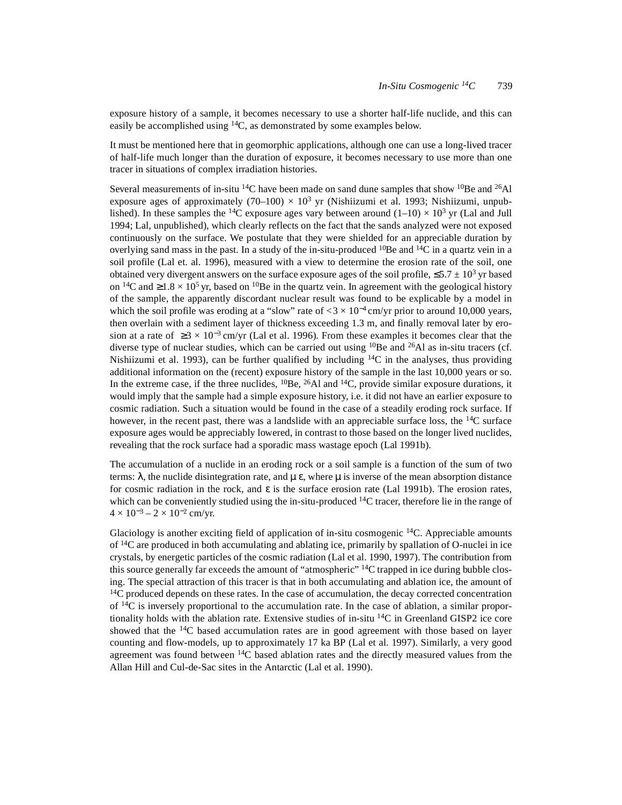exposure history of a sample, it becomes necessary to use a shorter half-life nuclide, and this can easily be accomplished using 14C, as demonstrated by some examples below.

It must be mentioned here that in geomorphic applications, although one can use a long-lived tracer of half-life much longer than the duration of exposure, it becomes necessary to use more than one tracer in situations of complex irradiation histories.

Several measurements of in-situ <sup>14</sup>C have been made on sand dune samples that show <sup>10</sup>Be and <sup>26</sup>Al exposure ages of approximately (70–100)  $\times$  10<sup>3</sup> yr (Nishiizumi et al. 1993; Nishiizumi, unpublished). In these samples the <sup>14</sup>C exposure ages vary between around  $(1-10) \times 10^3$  yr (Lal and Jull 1994; Lal, unpublished), which clearly reflects on the fact that the sands analyzed were not exposed continuously on the surface. We postulate that they were shielded for an appreciable duration by overlying sand mass in the past. In a study of the in-situ-produced  $^{10}$ Be and  $^{14}$ C in a quartz vein in a soil profile (Lal et. al. 1996), measured with a view to determine the erosion rate of the soil, one obtained very divergent answers on the surface exposure ages of the soil profile,  $\leq 5.7 \pm 10^3$  yr based on <sup>14</sup>C and  $\geq 1.8 \times 10^5$  yr, based on <sup>10</sup>Be in the quartz vein. In agreement with the geological history of the sample, the apparently discordant nuclear result was found to be explicable by a model in which the soil profile was eroding at a "slow" rate of  $< 3 \times 10^{-4}$  cm/yr prior to around 10,000 years, then overlain with a sediment layer of thickness exceeding 1.3 m, and finally removal later by erosion at a rate of  $\geq 3 \times 10^{-3}$  cm/yr (Lal et al. 1996). From these examples it becomes clear that the diverse type of nuclear studies, which can be carried out using  $^{10}$ Be and  $^{26}$ Al as in-situ tracers (cf. Nishiizumi et al. 1993), can be further qualified by including  ${}^{14}C$  in the analyses, thus providing additional information on the (recent) exposure history of the sample in the last 10,000 years or so. In the extreme case, if the three nuclides,  ${}^{10}Be$ ,  ${}^{26}Al$  and  ${}^{14}C$ , provide similar exposure durations, it would imply that the sample had a simple exposure history, i.e. it did not have an earlier exposure to cosmic radiation. Such a situation would be found in the case of a steadily eroding rock surface. If however, in the recent past, there was a landslide with an appreciable surface loss, the  $^{14}C$  surface exposure ages would be appreciably lowered, in contrast to those based on the longer lived nuclides, revealing that the rock surface had a sporadic mass wastage epoch (Lal 1991b).

The accumulation of a nuclide in an eroding rock or a soil sample is a function of the sum of two terms:  $\lambda$ , the nuclide disintegration rate, and  $\mu \varepsilon$ , where  $\mu$  is inverse of the mean absorption distance for cosmic radiation in the rock, and ε is the surface erosion rate (Lal 1991b). The erosion rates, which can be conveniently studied using the in-situ-produced <sup>14</sup>C tracer, therefore lie in the range of  $4 \times 10^{-3} - 2 \times 10^{-2}$  cm/yr.

Glaciology is another exciting field of application of in-situ cosmogenic  $\frac{14}{C}$ . Appreciable amounts of 14C are produced in both accumulating and ablating ice, primarily by spallation of O-nuclei in ice crystals, by energetic particles of the cosmic radiation (Lal et al. 1990, 1997). The contribution from this source generally far exceeds the amount of "atmospheric" <sup>14</sup>C trapped in ice during bubble closing. The special attraction of this tracer is that in both accumulating and ablation ice, the amount of  $14C$  produced depends on these rates. In the case of accumulation, the decay corrected concentration of  ${}^{14}C$  is inversely proportional to the accumulation rate. In the case of ablation, a similar proportionality holds with the ablation rate. Extensive studies of in-situ  $^{14}$ C in Greenland GISP2 ice core showed that the  $14C$  based accumulation rates are in good agreement with those based on layer counting and flow-models, up to approximately 17 ka BP (Lal et al. 1997). Similarly, a very good agreement was found between  $^{14}$ C based ablation rates and the directly measured values from the Allan Hill and Cul-de-Sac sites in the Antarctic (Lal et al. 1990).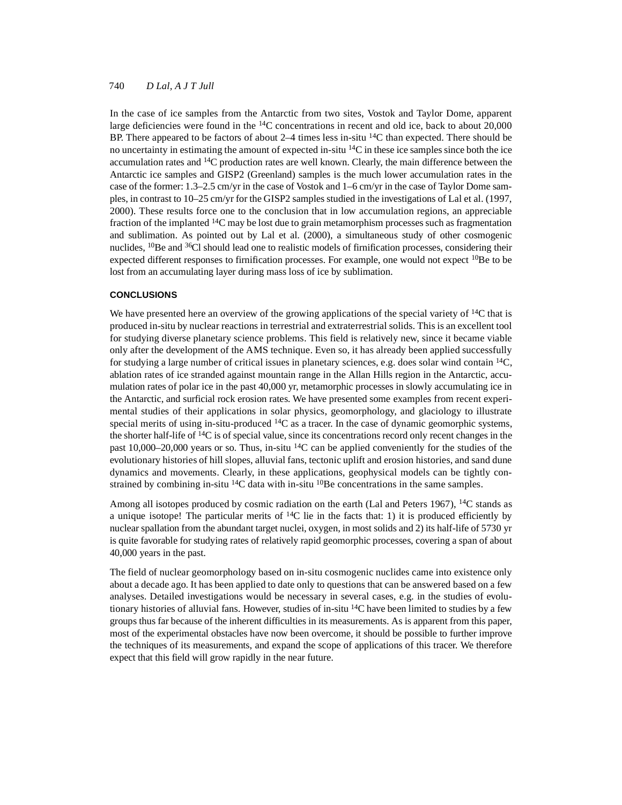In the case of ice samples from the Antarctic from two sites, Vostok and Taylor Dome, apparent large deficiencies were found in the  $^{14}$ C concentrations in recent and old ice, back to about 20,000 BP. There appeared to be factors of about  $2-4$  times less in-situ  $^{14}$ C than expected. There should be no uncertainty in estimating the amount of expected in-situ  $^{14}$ C in these ice samples since both the ice accumulation rates and 14C production rates are well known. Clearly, the main difference between the Antarctic ice samples and GISP2 (Greenland) samples is the much lower accumulation rates in the case of the former: 1.3–2.5 cm/yr in the case of Vostok and 1–6 cm/yr in the case of Taylor Dome samples, in contrast to 10–25 cm/yr for the GISP2 samples studied in the investigations of Lal et al. (1997, 2000). These results force one to the conclusion that in low accumulation regions, an appreciable fraction of the implanted 14C may be lost due to grain metamorphism processes such as fragmentation and sublimation. As pointed out by Lal et al. (2000), a simultaneous study of other cosmogenic nuclides,  ${}^{10}$ Be and  ${}^{36}$ Cl should lead one to realistic models of firnification processes, considering their expected different responses to firnification processes. For example, one would not expect  $^{10}$ Be to be lost from an accumulating layer during mass loss of ice by sublimation.

### **CONCLUSIONS**

We have presented here an overview of the growing applications of the special variety of <sup>14</sup>C that is produced in-situ by nuclear reactions in terrestrial and extraterrestrial solids. This is an excellent tool for studying diverse planetary science problems. This field is relatively new, since it became viable only after the development of the AMS technique. Even so, it has already been applied successfully for studying a large number of critical issues in planetary sciences, e.g. does solar wind contain 14C, ablation rates of ice stranded against mountain range in the Allan Hills region in the Antarctic, accumulation rates of polar ice in the past 40,000 yr, metamorphic processes in slowly accumulating ice in the Antarctic, and surficial rock erosion rates. We have presented some examples from recent experimental studies of their applications in solar physics, geomorphology, and glaciology to illustrate special merits of using in-situ-produced  ${}^{14}C$  as a tracer. In the case of dynamic geomorphic systems, the shorter half-life of  ${}^{14}C$  is of special value, since its concentrations record only recent changes in the past 10,000–20,000 years or so. Thus, in-situ 14C can be applied conveniently for the studies of the evolutionary histories of hill slopes, alluvial fans, tectonic uplift and erosion histories, and sand dune dynamics and movements. Clearly, in these applications, geophysical models can be tightly constrained by combining in-situ  ${}^{14}C$  data with in-situ  ${}^{10}Be$  concentrations in the same samples.

Among all isotopes produced by cosmic radiation on the earth (Lal and Peters 1967), <sup>14</sup>C stands as a unique isotope! The particular merits of  ${}^{14}C$  lie in the facts that: 1) it is produced efficiently by nuclear spallation from the abundant target nuclei, oxygen, in most solids and 2) its half-life of 5730 yr is quite favorable for studying rates of relatively rapid geomorphic processes, covering a span of about 40,000 years in the past.

The field of nuclear geomorphology based on in-situ cosmogenic nuclides came into existence only about a decade ago. It has been applied to date only to questions that can be answered based on a few analyses. Detailed investigations would be necessary in several cases, e.g. in the studies of evolutionary histories of alluvial fans. However, studies of in-situ  $^{14}C$  have been limited to studies by a few groups thus far because of the inherent difficulties in its measurements. As is apparent from this paper, most of the experimental obstacles have now been overcome, it should be possible to further improve the techniques of its measurements, and expand the scope of applications of this tracer. We therefore expect that this field will grow rapidly in the near future.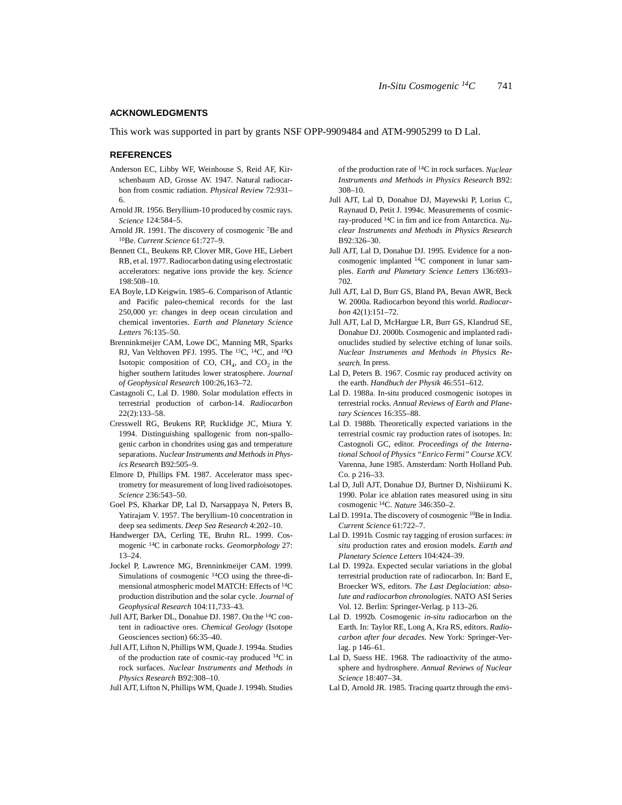#### **ACKNOWLEDGMENTS**

This work was supported in part by grants NSF OPP-9909484 and ATM-9905299 to D Lal.

#### **REFERENCES**

- Anderson EC, Libby WF, Weinhouse S, Reid AF, Kirschenbaum AD, Grosse AV. 1947. Natural radiocarbon from cosmic radiation. *Physical Review* 72:931– 6.
- Arnold JR. 1956. Beryllium-10 produced by cosmic rays. *Science* 124:584–5.
- Arnold JR. 1991. The discovery of cosmogenic <sup>7</sup>Be and 10Be. *Current Science* 61:727–9.
- Bennett CL, Beukens RP, Clover MR, Gove HE, Liebert RB, et al. 1977. Radiocarbon dating using electrostatic accelerators: negative ions provide the key. *Science* 198:508–10.
- EA Boyle, LD Keigwin. 1985–6. Comparison of Atlantic and Pacific paleo-chemical records for the last 250,000 yr: changes in deep ocean circulation and chemical inventories. *Earth and Planetary Science Letters* 76:135–50.
- Brenninkmeijer CAM, Lowe DC, Manning MR, Sparks RJ, Van Velthoven PFJ. 1995. The 13C, 14C, and 18O Isotopic composition of CO,  $CH<sub>4</sub>$ , and  $CO<sub>2</sub>$  in the higher southern latitudes lower stratosphere. *Journal of Geophysical Research* 100:26,163–72.
- Castagnoli C, Lal D. 1980. Solar modulation effects in terrestrial production of carbon-14. *Radiocarbon* 22(2):133–58.
- Cresswell RG, Beukens RP, Rucklidge JC, Miura Y. 1994. Distinguishing spallogenic from non-spallogenic carbon in chondrites using gas and temperature separations. *Nuclear Instruments and Methods in Physics Research* B92:505–9.
- Elmore D, Phillips FM. 1987. Accelerator mass spectrometry for measurement of long lived radioisotopes. *Science* 236:543–50.
- Goel PS, Kharkar DP, Lal D, Narsappaya N, Peters B, Yatirajam V. 1957. The beryllium-10 concentration in deep sea sediments. *Deep Sea Research* 4:202–10.
- Handwerger DA, Cerling TE, Bruhn RL. 1999. Cosmogenic 14C in carbonate rocks. *Geomorphology* 27: 13–24.
- Jockel P, Lawrence MG, Brenninkmeijer CAM. 1999. Simulations of cosmogenic 14CO using the three-dimensional atmospheric model MATCH: Effects of 14C production distribution and the solar cycle. *Journal of Geophysical Research* 104:11,733–43.
- Jull AJT, Barker DL, Donahue DJ. 1987. On the 14C content in radioactive ores. *Chemical Geology* (Isotope Geosciences section) 66:35–40.
- Jull AJT, Lifton N, Phillips WM, Quade J. 1994a. Studies of the production rate of cosmic-ray produced 14C in rock surfaces. *Nuclear Instruments and Methods in Physics Research* B92:308–10.
- Jull AJT, Lifton N, Phillips WM, Quade J. 1994b. Studies

of the production rate of 14C in rock surfaces. *Nuclear Instruments and Methods in Physics Research* B92: 308–10.

- Jull AJT, Lal D, Donahue DJ, Mayewski P, Lorius C, Raynaud D, Petit J. 1994c. Measurements of cosmicray-produced 14C in firn and ice from Antarctica. *Nuclear Instruments and Methods in Physics Research*  $B92.326 - 30$
- Jull AJT, Lal D, Donahue DJ. 1995. Evidence for a noncosmogenic implanted 14C component in lunar samples. *Earth and Planetary Science Letters* 136:693– 702.
- Jull AJT, Lal D, Burr GS, Bland PA, Bevan AWR, Beck W. 2000a. Radiocarbon beyond this world. *Radiocarbon* 42(1):151–72.
- Jull AJT, Lal D, McHargue LR, Burr GS, Klandrud SE, Donahue DJ. 2000b. Cosmogenic and implanted radionuclides studied by selective etching of lunar soils. *Nuclear Instruments and Methods in Physics Research.* In press.
- Lal D, Peters B. 1967. Cosmic ray produced activity on the earth. *Handbuch der Physik* 46:551–612.
- Lal D. 1988a. In-situ produced cosmogenic isotopes in terrestrial rocks. *Annual Reviews of Earth and Planetary Sciences* 16:355–88.
- Lal D. 1988b. Theoretically expected variations in the terrestrial cosmic ray production rates of isotopes. In: Castognoli GC, editor. *Proceedings of the International School of Physics "Enrico Fermi" Course XCV.* Varenna, June 1985. Amsterdam: North Holland Pub. Co. p 216–33.
- Lal D, Jull AJT, Donahue DJ, Burtner D, Nishiizumi K. 1990. Polar ice ablation rates measured using in situ cosmogenic 14C. *Nature* 346:350–2.
- Lal D. 1991a. The discovery of cosmogenic <sup>10</sup>Be in India. *Current Science* 61:722–7.
- Lal D. 1991b. Cosmic ray tagging of erosion surfaces: *in situ* production rates and erosion models. *Earth and Planetary Science Letters* 104:424–39.
- Lal D. 1992a. Expected secular variations in the global terrestrial production rate of radiocarbon. In: Bard E, Broecker WS, editors. *The Last Deglaciation: absolute and radiocarbon chronologies*. NATO ASI Series Vol. 12. Berlin: Springer-Verlag. p 113–26.
- Lal D. 1992b. Cosmogenic *in-situ* radiocarbon on the Earth. In: Taylor RE, Long A, Kra RS, editors. *Radiocarbon after four decades*. New York: Springer-Verlag. p 146–61.
- Lal D, Suess HE. 1968. The radioactivity of the atmosphere and hydrosphere. *Annual Reviews of Nuclear Science* 18:407–34.
- Lal D, Arnold JR. 1985. Tracing quartz through the envi-